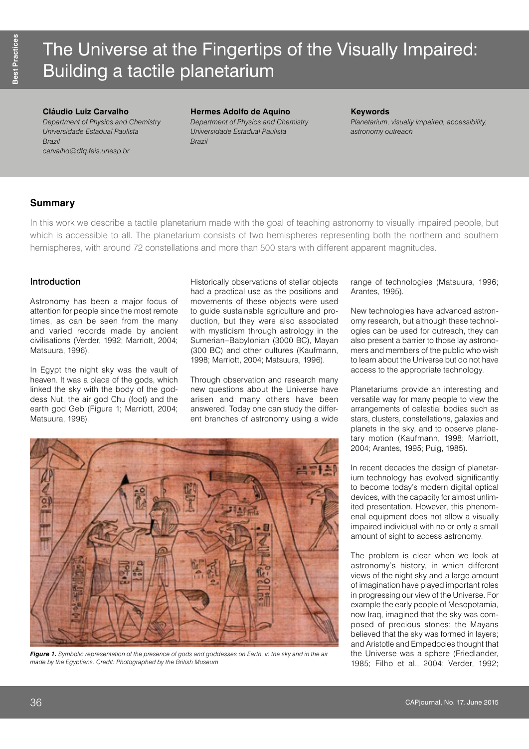# The Universe at the Fingertips of the Visually Impaired: Building a tactile planetarium

## **Cláudio Luiz Carvalho**

*Department of Physics and Chemistry Universidade Estadual Paulista Brazil [carvalho@dfq.feis.unesp.br](mailto:carvalho@dfq.feis.unesp.br)*

**Hermes Adolfo de Aquino** *Department of Physics and Chemistry Universidade Estadual Paulista Brazil*

#### **Keywords**

*Planetarium, visually impaired, accessibility, astronomy outreach*

## **Summary**

In this work we describe a tactile planetarium made with the goal of teaching astronomy to visually impaired people, but which is accessible to all. The planetarium consists of two hemispheres representing both the northern and southern hemispheres, with around 72 constellations and more than 500 stars with different apparent magnitudes.

## Introduction

Astronomy has been a major focus of attention for people since the most remote times, as can be seen from the many and varied records made by ancient civilisations (Verder, 1992; Marriott, 2004; Matsuura, 1996).

In Egypt the night sky was the vault of heaven. It was a place of the gods, which linked the sky with the body of the goddess Nut, the air god Chu (foot) and the earth god Geb (Figure 1; Marriott, 2004; Matsuura, 1996).

Historically observations of stellar objects had a practical use as the positions and movements of these objects were used to guide sustainable agriculture and production, but they were also associated with mysticism through astrology in the Sumerian–Babylonian (3000 BC), Mayan (300 BC) and other cultures (Kaufmann, 1998; Marriott, 2004; Matsuura, 1996).

Through observation and research many new questions about the Universe have arisen and many others have been answered. Today one can study the different branches of astronomy using a wide range of technologies (Matsuura, 1996; Arantes, 1995).

New technologies have advanced astronomy research, but although these technologies can be used for outreach, they can also present a barrier to those lay astronomers and members of the public who wish to learn about the Universe but do not have access to the appropriate technology.

Planetariums provide an interesting and versatile way for many people to view the arrangements of celestial bodies such as stars, clusters, constellations, galaxies and planets in the sky, and to observe planetary motion (Kaufmann, 1998; Marriott, 2004; Arantes, 1995; Puig, 1985).

In recent decades the design of planetarium technology has evolved significantly to become today's modern digital optical devices, with the capacity for almost unlimited presentation. However, this phenomenal equipment does not allow a visually impaired individual with no or only a small amount of sight to access astronomy.

The problem is clear when we look at astronomy's history, in which different views of the night sky and a large amount of imagination have played important roles in progressing our view of the Universe. For example the early people of Mesopotamia, now Iraq, imagined that the sky was composed of precious stones; the Mayans believed that the sky was formed in layers; and Aristotle and Empedocles thought that the Universe was a sphere (Friedlander, 1985; Filho et al., 2004; Verder, 1992;



*Figure 1. Symbolic representation of the presence of gods and goddesses on Earth, in the sky and in the air made by the Egyptians. Credit: Photographed by the British Museum*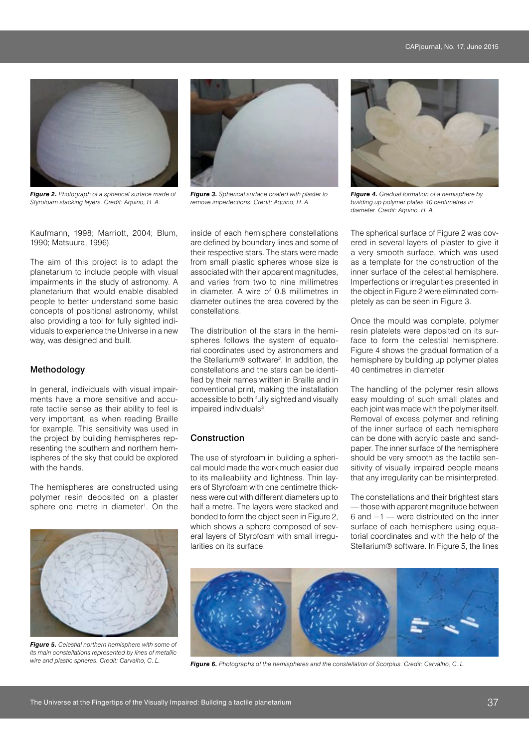

*Figure 2. Photograph of a spherical surface made of Styrofoam stacking layers. Credit: Aquino, H. A.*

Kaufmann, 1998; Marriott, 2004; Blum, 1990; Matsuura, 1996).

The aim of this project is to adapt the planetarium to include people with visual impairments in the study of astronomy. A planetarium that would enable disabled people to better understand some basic concepts of positional astronomy, whilst also providing a tool for fully sighted individuals to experience the Universe in a new way, was designed and built.

#### Methodology

In general, individuals with visual impairments have a more sensitive and accurate tactile sense as their ability to feel is very important, as when reading Braille for example. This sensitivity was used in the project by building hemispheres representing the southern and northern hemispheres of the sky that could be explored with the hands.

The hemispheres are constructed using polymer resin deposited on a plaster sphere one metre in diameter<sup>1</sup>. On the



*Figure 5. Celestial northern hemisphere with some of its main constellations represented by lines of metallic* 



*Figure 3. Spherical surface coated with plaster to remove imperfections. Credit: Aquino, H. A.*

inside of each hemisphere constellations are defined by boundary lines and some of their respective stars. The stars were made from small plastic spheres whose size is associated with their apparent magnitudes, and varies from two to nine millimetres in diameter. A wire of 0.8 millimetres in diameter outlines the area covered by the constellations.

The distribution of the stars in the hemispheres follows the system of equatorial coordinates used by astronomers and the Stellarium® software<sup>2</sup>. In addition, the constellations and the stars can be identified by their names written in Braille and in conventional print, making the installation accessible to both fully sighted and visually impaired individuals<sup>3</sup>.

## **Construction**

The use of styrofoam in building a spherical mould made the work much easier due to its malleability and lightness. Thin layers of Styrofoam with one centimetre thickness were cut with different diameters up to half a metre. The layers were stacked and bonded to form the object seen in Figure 2, which shows a sphere composed of several layers of Styrofoam with small irregularities on its surface.



*Figure 4. Gradual formation of a hemisphere by building up polymer plates 40 centimetres in diameter. Credit: Aquino, H. A.*

The spherical surface of Figure 2 was covered in several layers of plaster to give it a very smooth surface, which was used as a template for the construction of the inner surface of the celestial hemisphere. Imperfections or irregularities presented in the object in Figure 2 were eliminated completely as can be seen in Figure 3.

Once the mould was complete, polymer resin platelets were deposited on its surface to form the celestial hemisphere. Figure 4 shows the gradual formation of a hemisphere by building up polymer plates 40 centimetres in diameter.

The handling of the polymer resin allows easy moulding of such small plates and each joint was made with the polymer itself. Removal of excess polymer and refining of the inner surface of each hemisphere can be done with acrylic paste and sandpaper. The inner surface of the hemisphere should be very smooth as the tactile sensitivity of visually impaired people means that any irregularity can be misinterpreted.

The constellations and their brightest stars — those with apparent magnitude between 6 and −1 — were distributed on the inner surface of each hemisphere using equatorial coordinates and with the help of the Stellarium® software. In Figure 5, the lines



*wire and plastic spheres. Credit: Carvalho, C. L. Figure 6. Photographs of the hemispheres and the constellation of Scorpius. Credit: Carvalho, C. L.*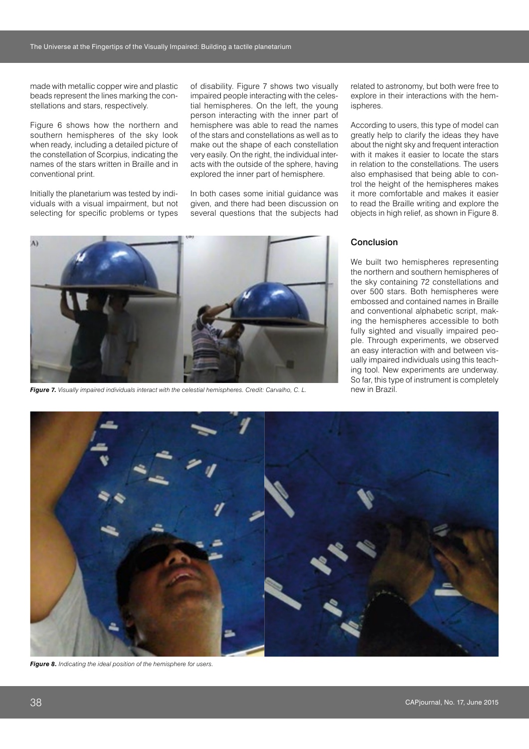made with metallic copper wire and plastic beads represent the lines marking the constellations and stars, respectively.

Figure 6 shows how the northern and southern hemispheres of the sky look when ready, including a detailed picture of the constellation of Scorpius, indicating the names of the stars written in Braille and in conventional print.

Initially the planetarium was tested by individuals with a visual impairment, but not selecting for specific problems or types of disability. Figure 7 shows two visually impaired people interacting with the celestial hemispheres. On the left, the young person interacting with the inner part of hemisphere was able to read the names of the stars and constellations as well as to make out the shape of each constellation very easily. On the right, the individual interacts with the outside of the sphere, having explored the inner part of hemisphere.

In both cases some initial guidance was given, and there had been discussion on several questions that the subjects had related to astronomy, but both were free to explore in their interactions with the hemispheres.

According to users, this type of model can greatly help to clarify the ideas they have about the night sky and frequent interaction with it makes it easier to locate the stars in relation to the constellations. The users also emphasised that being able to control the height of the hemispheres makes it more comfortable and makes it easier to read the Braille writing and explore the objects in high relief, as shown in Figure 8.



*Figure 7. Visually impaired individuals interact with the celestial hemispheres. Credit: Carvalho, C. L.*

#### Conclusion

We built two hemispheres representing the northern and southern hemispheres of the sky containing 72 constellations and over 500 stars. Both hemispheres were embossed and contained names in Braille and conventional alphabetic script, making the hemispheres accessible to both fully sighted and visually impaired people. Through experiments, we observed an easy interaction with and between visually impaired individuals using this teaching tool. New experiments are underway. So far, this type of instrument is completely new in Brazil.



*Figure 8. Indicating the ideal position of the hemisphere for users.*